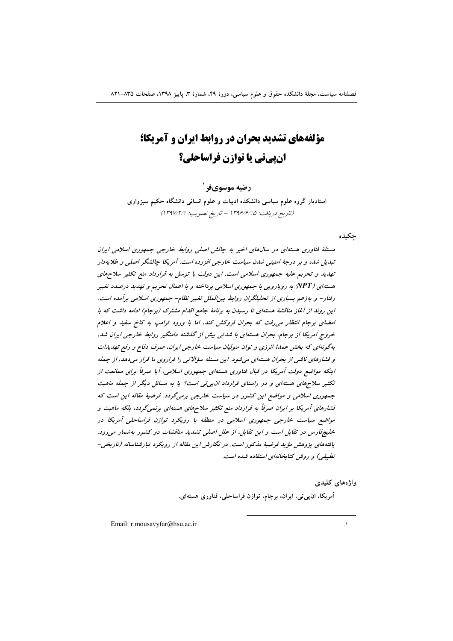# **مؤلفههای تشدید بحران در روابط ایران و آمریکا؛ انیهاتی یا توازن فراساحلی؟**

## **رضيه موسوىفر**`

استادیار گروه علوم سیاسی دانشکده ادبیات و علوم انسانی دانشگاه حکیم سبزواری (تاریخ دریافت: ۱۳۹۶/۶/۱۵ – تاریخ تصویب: ۱۳۹۷/۲/۱)

چکیده

مسئلهٔ فناوری هستهای در سالهای اخیر به چالش اصلی روابط خارجی جمهوری اسلامی ایران تبدیل شده و بر درجهٔ امنیتبی شدن سیاست خارجی افزوده است. آمریکا چالشگر اصلبی و طلایهدار تهدید و تحریم علیه جمهوری اسلامی است. این دولت با توسل به قرارداد منع تکثیر سلاحهای هسته/ی (NPT) به رویارویی با جمهوری اسلامی پرداخته و با اعمال تحریم و تهدید درصدد تغییر رفتار- و بهزعم بسیاری از تحلیلگران روابط بینالملل تغییر نظام- جمهوری اسلامی برآمده است. این رون*د از آغاز مناقشهٔ هستهای تا رسیدن به برنامهٔ جامع اقدام مشترک (برجام) ادامه داشت که با* امضای برجام انتظار می رفت که بحران فروکش کند، اما با ورود ترامپ به کاخ سفید و اعلام خروج آمریکا از برجام، بحران هستهای با شدتی بیش از گذشته دامنگیر روابط خارجی ایران شد، بهگونهای که بخش عمدهٔ انرژی و توان متولیان سیاست خارجی ایران، صرف دفاع و رفع تهدیدات و فشارهای ناشی از بحران هستهای میشود. این مسئله سؤلاتی را فراروی ما قرار میدهد، از جمله اینکه مواضع دولت آمریکا در قبال فناوری هستهای جمهوری اسلامی، آیا صرفاً برای ممانعت از تکثیر سلاحهای هسته*ای و در راستای قرارداد ان پی تی است؟ یا به مسائل دیگر از جمله ماهیت* جمهوری اسلامی و مواضع این کشور در سیاست خارجی برمیگردد. فرضیهٔ مقاله این است که فشارهای آمریکا بر ایران صرفاً به قرارداد منع تکثیر سلاحهای هسته*ای برنمی گ*ردد، بلکه ماهیت و مواضع سیاست خارجی جمهوری اسلامی در منطقه با رویکرد توازن فراساحلی آمریکا در خلیج فارس در تقابل است و این تقابل، از علل اصلی تشدید مناقشات دو کشور بهشمار می رود. يافتههاي پژوهش مؤيد فرضيهٔ مذكور است. در نگارش اين مقاله از رويكرد تبارشناسانه (تاريخي-تطبیقی) و روش کتابخانهای استفاده شده است.

**واژە**ھای کلیدی

آمریکا، ان $_{\mathbf{z}}$ تی، ایران، برجام، توازن فراساحلی، فناوری هستهای.

 $\overline{a}$ 

Email: r.mousavyfar@hsu.ac.ir 1.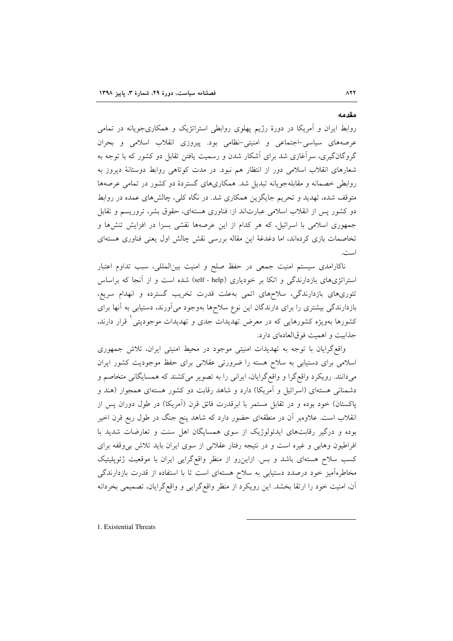روابط ایران و آمریکا در دورهٔ رژیم پهلوی روابطی استراتژیک و همکاریجویانه در تمامی عرصههای سیاسی-اجتماعی و امنیتی-نظامی بود. پیروزی انقلاب اسلامی و بحران گروگانگیری، سرآغازی شد برای آشکار شدن و رسمیت یافتن تقابل دو کشور که با توجه به شعارهای انقلاب اسلامی دور از انتظار هم نبود. در مدت کوتاهی روابط دوستانهٔ دیروز به روابطی خصمانه و مقابلهجویانه تبدیل شد. همکاریهای گستردهٔ دو کشور در تمامی عرصهها متوقف شده، تهدید و تحریم جایگزین همکاری شد. در نگاه کلی، چالشهای عمده در روابط دو کشور پس از انقلاب اسلامی عبارتاند از: فناوری هستهای، حقوق بشر، تروریسم و تقابل جمهوری اسلامی با اسرائیل، که هر کدام از این عرصهها نقشی بسزا در افزایش تنشرها و تخاصمات بازی کردهاند، اما دغدغهٔ این مقاله بررسی نقش چالش اول یعنی فناوری هستهای است.

ناکارامدی سیستم امنیت جمعی در حفظ صلح و امنیت بینالمللی، سبب تداوم اعتبار استراتژیهای بازدارندگی و اتکا بر خودیاری (self - help) شده است و از آنجا که براساس تئوریهای بازدارندگی، سلاحهای اتمی بهعلت قدرت تخریب گسترده و انهدام سریع، بازدارندگی بیشتری را برای دارندگان این نوع سلاحها بهوجود میآورند، دستیابی به آنها برای کشورها بهویژه کشورهایی که در معرض تهدیدات جدی و تهدیدات موجودیتی ٰ قرار دارند. جذابيت و اهميت فوقالعادهاي دارد.

واقع گرایان با توجه به تهدیدات امنیتی موجود در محیط امنیتی ایران، تلاش جمهوری اسلامی برای دستیابی به سلاح هسته را ضرورتی عقلانی برای حفظ موجودیت کشور ایران میدانند. رویکرد واقع گرا و واقع گرایان، ایرانی را به تصویر میکشند که همسایگانی متخاصم و دشمنانی هستهای (اسرائیل و آمریکا) دارد و شاهد رقابت دو کشور هستهای همجوار (هند و پاکستان) خود بوده و در تقابل مستمر با ابرقدرت فائق قرن (آمریکا) در طول دوران پس از انقلاب است. علاوهبر اّن در منطقهای حضور دارد که شاهد پنج جنگ در طول ربع قرن اخیر بوده و درگیر رقابتهای ایدئولوژیک از سوی همسایگان اهل سنت و تعارضات شدید با افراطیون وهایی و غیره است و در نتیجه رفتار عقلانی از سوی ایران باید تلاش بی وقفه برای کسب سلاح هستهای باشد و بس ازاین رو از منظر واقع گرایی ایران با موقعیت ژئوپلیتیک مخاطرهآمیز خود درصدد دستیابی به سلاح هستهای است تا با استفاده از قدرت بازدارندگی آن، امنیت خود را ارتقا بخشد. این رویکرد از منظر واقع گرایی و واقع گرایان، تصمیمی بخردانه

1. Existential Threats

مقدمه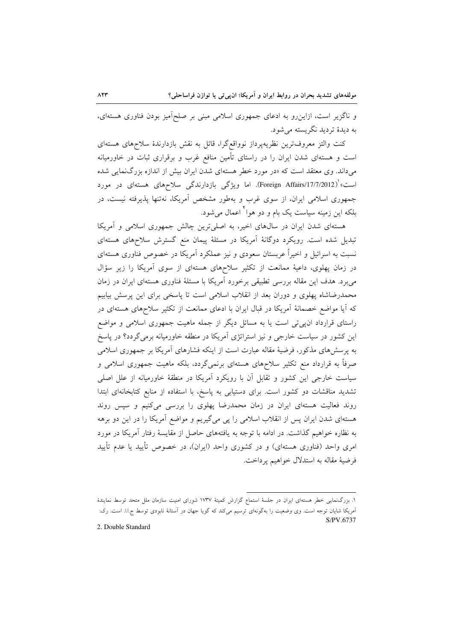و ناگزیر است، ازاین رو به ادعای جمهوری اسلامی مبنی بر صلحآمیز بودن فناوری هستهای، به دیدهٔ تردید نگریسته می شود.

کنت والتز معروفترین نظریهپرداز نوواقعگرا، قائل به نقش بازدارندهٔ سلاحهای هستهای است و هستهای شدن ایران را در راستای تأمین منافع غرب و برقراری ثبات در خاورمیانه میداند. وی معتقد است که «در مورد خطر هستهای شدن ایران بیش از اندازه بزرگ نمایی شده است» ٰ(Foreign Affairs/17/7/2012). اما ویژگی بازدارندگی سلاحهای هستهای در مورد جمهوری اسلامی ایران، از سوی غرب و بهطور مشخص آمریکا، نهتنها پذیرفته نیست، در بلکه این زمینه سیاست یک بام و دو هوا ٰ اعمال می شود.

هستهای شدن ایران در سالهای اخیر، به اصلیترین چالش جمهوری اسلامی و آمریکا تبدیل شده است. رویکرد دوگانهٔ آمریکا در مسئلهٔ پیمان منع گسترش سلاحهای هستهای نسبت به اسرائیل و اخیراً عربستان سعودی و نیز عملکرد آمریکا در خصوص فناوری هستهای در زمان پهلوی، داعیهٔ ممانعت از تکثیر سلاحهای هستهای از سوی آمریکا را زیر سؤال میبرد. هدف این مقاله بررسی تطبیقی برخورد آمریکا با مسئلهٔ فناوری هستهای ایران در زمان محمدرضاشاه پهلوی و دوران بعد از انقلاب اسلامی است تا پاسخی برای این پرسش بیابیم که آیا مواضع خصمانهٔ آمریکا در قبال ایران با ادعای ممانعت از تکثیر سلاحهای هستهای در راستای قرارداد ان پی تی است یا به مسائل دیگر از جمله ماهیت جمهوری اسلامی و مواضع این کشور در سیاست خارجی و نیز استراتژی آمریکا در منطقه خاورمیانه برمی گردد؟ در پاسخ به پرسش های مذکور، فرضیهٔ مقاله عبارت است از اینکه فشارهای آمریکا بر جمهوری اسلامی صرفاً به قرارداد منع تکثیر سلاحهای هستهای برنمیگردد، بلکه ماهیت جمهوری اسلامی و سیاست خارجی این کشور و تقابل آن با رویکرد آمریکا در منطقهٔ خاورمیانه از علل اصلی تشدید مناقشات دو کشور است. برای دستیابی به پاسخ، با استفاده از منابع کتابخانهای ابتدا روند فعالیت هستهای ایران در زمان محمدرضا پهلوی را بررسی میکنیم و سپس روند هستهای شدن ایران پس از انقلاب اسلامی را پی میگیریم و مواضع آمریکا را در این دو برهه به نظاره خواهیم گذاشت. در ادامه با توجه به یافتههای حاصل از مقایسهٔ رفتار آمریکا در مورد امری واحد (فناوری هستهای) و در کشوری واحد (ایران)، در خصوص تأیید یا عدم تأیید فرضيهٔ مقاله به استدلال خواهيم پرداخت.

2. Double Standard

۱. بزرگ $\epsilon$ نمایی خطر هستهای ایران در جلسهٔ استماع گزارش کمیتهٔ ۱۷۳۷ شورای امنیت سازمان ملل متحد توسط نمایندهٔ آمریکا شایان توجه است. وی وضعیت را بهگونهای ترسیم میکند که گویا جهان در آستانهٔ نابودی توسط ج.ا.ا. است. رک: S/PV 6737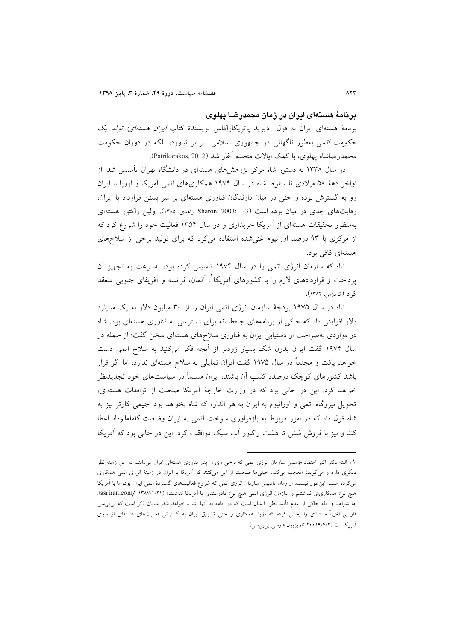#### **برنا**مهٔ هستهای ایران در زمان محمدرضنا پهلوی

برنامهٔ هستهای ایران به قول دیوید پاتریکاراکاس نویسندهٔ کتاب *ایران هستهای: تولد یک* ح*کومت اتمی* بهطور ناگهانی در جمهوری اسلامی سر بر نیاورد، بلکه در دوران حکومت محمدرضاشاه پهلوی، با کمک ایالات متحده اغاز شد (Patrikarakos, 2012).

در سال ۱۳۳۸ به دستور شاه مرکز پژوهشهای هستهای در دانشگاه تهران تاسیس شد. از اواخر دههٔ ۵۰ میلادی تا سقوط شاه در سال ۱۹۷۹ همکاریهای اتمی امریکا و اروپا با ایران رو به گسترش بوده و حتی در میان دارندگان فناوری هستهای بر سر بستن قرارداد با ایران، رقابتهای جدی در میان بوده است Sharon, 2003: 1-3) راهدی، ۱۳۸۵). اولین راکتور هستهای بهمنظور تحقیقات هستهای از امریکا خریداری و در سال ۱۳۵۴ فعالیت خود را شروع کرد که از مرکزی با ۹۳ درصد اورانیوم غنیشده استفاده میکرد که برای تولید برخی از سلاحهای هستهای کافی بود.

شاه که سازمان انرژی اتمی را در سال ۱۹۷۴ تاسیس کرده بود، بهسرعت به تجهیز ان پرداخت و قراردادهای لازم را با کشورهای آمریکا ْ، آلمان، فرانسه و آفریقای جنوبی منعقد كرد (كردزمن، ۱۳۸۲).

شاه در سال ۱۹۷۵ بودجهٔ سازمان انرژی اتمی ایران را از ۳۰ میلیون دلار به یک میلیارد دلار افزایش داد که حاکی از برنامههای جاهطلبانه برای دسترسی به فناوری هستهای بود. شاه در مواردی بهصراحت از دستیابی ایران به فناوری سلاحهای هستهای سخن گفت؛ از جمله در سال ۱۹۷۴ گفت ایران بدون شک بسیار زودتر از انچه فکر میکنید به سلاح اتمی دست خواهد یافت و مجددا در سال ۱۹۷۵ گفت ایران تمایلی به سلاح هستهای ندارد، اما اگر قرار باشد کشورهای کوچک درصدد کسب ان باشند، ایران مسلما در سیاستهای خود تجدیدنظر خواهد کرد. این در حالی بود که در وزارت خارجهٔ امریکا صحبت از توافقات هستهای، تحویل نیروگاه اتمی و اورانیوم به ایران به هر اندازه که شاه بخواهد بود. جیمی کارتر نیز به شاه قول داد که در امور مربوط به بازفراوری سوخت اتمی به ایران وضعیت کاملهالوداد اعطا کند و نیز با فروش شش تا هشت راکتور اب سبک موافقت کرد. این در حالی بود که امریکا

 $\overline{a}$ 

۰۱ البته دکتر اکبر اعتماد مؤسس سازمان انرژی اتمی که برخی وی را پدر فناوری هستهای ایران میدانند، در این زمینه نظر دیگری دارد و میگوید: «تعجب میکنم. خیلمیها صحبت از این میکنند که امریکا با ایران در زمینهٔ انرژی اتمی همکاری میکرده است. این $لور نیست. از زمان تاسیس سازمان انرژی اتمی که شروع فعالیتهای گستردهٔ اتمی ایران بود، ما با امریکا$ هیچ نوع همکاریای نداشتیم و سازمان انرژی اتمی هیچ نوع دادوستدی با اَمریکا نداشت» (۱۳۸۷/۱/۲۱ /asriran.com). اما شواهد و ادله حاکی از عدم تایید نظر ایشان است که در ادامه به انها اشاره خواهد شد. شایان ذکر است که بی $_{\omega}$ ی فارسی اخیرا مستندی را پخش کرده که مؤید همکاری و حتی تشویق ایران به گسترش فعالیتهای هستهای از سوی .<br>آمریکاست (۱۹/۷/۴ تلویزیون فارسی بیبیسی).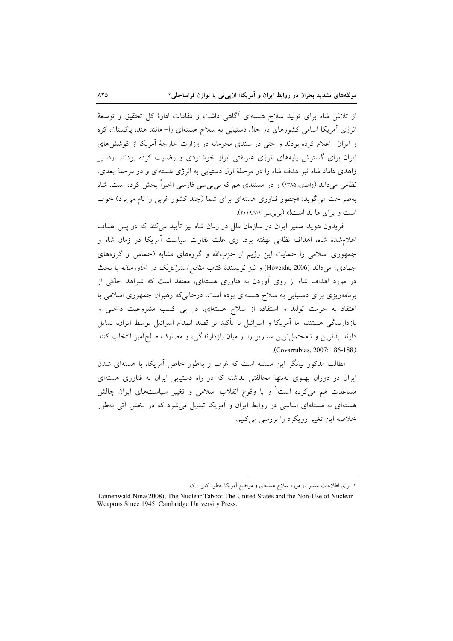از تلاش شاه برای تولید سلاح هستهای آگاهی داشت و مقامات ادارهٔ کل تحقیق و توسعهٔ انرژی آمریکا اسامی کشورهای در حال دستیابی به سلاح هستهای را– مانند هند، پاکستان، کره و ایران– اعلام کرده بودند و حتبی در سندی محرمانه در وزارت خارجهٔ اَمریکا از کوشش های ایران برای گسترش پایههای انرژی غیرنفتی ابراز خوشنودی و رضایت کرده بودند. اردشیر زاهدی داماد شاه نیز هدف شاه را در مرحلهٔ اول دستیابی به انرژی هستهای و در مرحلهٔ بعدی، نظامی میداند (زاهدی، ۱۳۸۵) و در مستندی هم که بی بی سی فارسی اخیراً یخش کرده است، شاه بهصراحت می گوید: «چطور فناوری هستهای برای شما (چند کشور غربی را نام می برد) خوب است و برای ما بد است!» (بی بی سی ۲۰۱۹/۷/۴).

فریدون هویدا سفیر ایران در سازمان ملل در زمان شاه نیز تأیید میکند که در پس اهداف اعلام شدهٔ شاه، اهداف نظامی نهفته بود. وی علت تفاوت سیاست آمریکا در زمان شاه و جمهوری اسلامی را حمایت این رژیم از حزبالله و گروههای مشابه (حماس و گروههای جهادی) میداند (Hoveida, 2006) و نیز نویسندهٔ کتاب *منافع استراتژیک در خاورمیانه* با بحث در مورد اهداف شاه از روی آوردن به فناوری هستهای، معتقد است که شواهد حاکی از برنامهریزی برای دستیابی به سلاح هستهای بوده است، درحالی که رهبران جمهوری اسلامی با اعتقاد به حرمت تولید و استفاده از سلاح هستهای، در پی کسب مشروعیت داخلی و بازدارندگی هستند، اما آمریکا و اسرائیل با تأکید بر قصد انهدام اسرائیل توسط ایران، تمایل دارند بدترین و نامحتمل ترین سناریو را از میان بازدارندگی، و مصارف صلحآمیز انتخاب کنند (Covarrubias, 2007: 186-188).

مطالب مذکور بیانگر این مسئله است که غرب و بهطور خاص آمریکا، با هستهای شدن ایران در دوران پهلوی نهتنها مخالفتی نداشته که در راه دستیابی ایران به فناوری هستهای مساعدت هم میکرده است و با وقوع انقلاب اسلامی و تغییر سیاستهای ایران چالش هستهای به مسئلهای اساسی در روابط ایران و آمریکا تبدیل می شود که در بخش آتی بهطور خلاصه این تغییر رویکرد را بررسی میکنیم.

۱. برای اطلاعات بیشتر در مورد سلاح هستهای و مواضع آمریکا بهطور کلی ر.ک:

Tannenwald Nina(2008), The Nuclear Taboo: The United States and the Non-Use of Nuclear Weapons Since 1945. Cambridge University Press.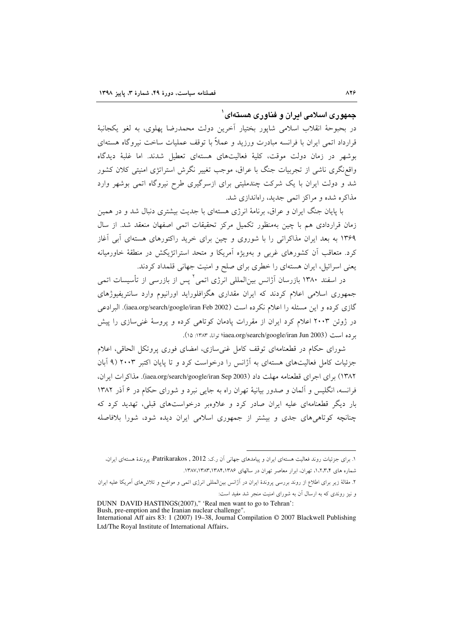#### جمهوری اسلامی ایران و فناوری هستهای ٔ

در بحبوحهٔ انقلاب اسلامی شاپور بختیار آخرین دولت محمدرضا پهلوی، به لغو یکجانبهٔ قرارداد اتمی ایران با فرانسه مبادرت ورزید و عملاً با توقف عملیات ساخت نیروگاه هستهای بوشهر در زمان دولت موقت، کلیهٔ فعالیتهای هستهای تعطیل شدند. اما غلبهٔ دیدگاه واقع نگری ناشی از تجربیات جنگ با عراق، موجب تغییر نگرش استراتژی امنیتی کلان کشور شد و دولت ایران با یک شرکت چندملیتی برای ازسرگیری طرح نیروگاه اتمی بوشهر وارد مذاکره شده و مراکز اتمی جدید، راهاندازی شد.

با پایان جنگ ایران و عراق، برنامهٔ انرژی هستهای با جدیت بیشتری دنبال شد و در همین زمان قراردادی هم با چین بهمنظور تکمیل مرکز تحقیقات اتمی اصفهان منعقد شد. از سال ۱۳۶۹ به بعد ایران مذاکراتی را با شوروی و چین برای خرید راکتورهای هستهای آبی آغاز کرد. متعاقب آن کشورهای غربی و بهویژه آمریکا و متحد استراتژیکش در منطقهٔ خاورمیانه یعنی اسرائیل، ایران هستهای را خطری برای صلح و امنیت جهانی قلمداد کردند.

در اسفند ۱۳۸۰ بازرسان آژانس بینالمللی انرژی اتمی ٔ پس از بازرسی از تأسیسات اتمی جمهوری اسلامی اعلام کردند که ایران مقداری هگزافلوراید اورانیوم وارد سانتریفیوژهای گازی کرده و این مسئله را اعلام نکرده است (iaea.org/search/google/iran Feb 2002). البرادعی در ژوئن ۲۰۰۳ اعلام کرد ایران از مقررات یادمان کوتاهی کرده و پروسهٔ غنی سازی را پیش برده است (iaea.org/search/google/iran Jun 2003؛ توانا، ۱۳۸۳: ۱۵).

شورای حکام در قطعنامهای توقف کامل غنی سازی، امضای فوری پروتکل الحاقی، اعلام جزئیات کامل فعالیتهای هستهای به آژانس را درخواست کرد و تا پایان اکتبر ۲۰۰۳ (۹ آبان ۱۳۸۲) برای اجرای قطعنامه مهلت داد (iaea.org/search/google/iran Sep 2003). مذاکرات ایران، فرانسه، انگلیس و آلمان و صدور بیانیهٔ تهران راه به جایی نبرد و شورای حکام در ۶ آذر ۱۳۸۲ بار دیگر قطعنامهای علیه ایران صادر کرد و علاوهبر درخواستهای قبلی، تهدید کرد که چنانچه کوتاهیهای جدی و بیشتر از جمهوری اسلامی ایران دیده شود، شورا بلافاصله

۲. مقالهٔ زیر برای اطلاع از روند بررسی پروندهٔ ایران در اَژانس بین|لمللی انرژی اتمی و مواضع و تلاش۵های اَمریکا علیه ایران و نیز روندی که به ارسال آن به شورای امنیت منجر شد مفید است:

DUNN DAVID HASTINGS(2007)," 'Real men want to go to Tehran':

۱. برای جزئیات روند فعالیت هستهای ایران و پیامدهای جهانی آن ر.ک: Patrikarakos , 2012؛ پروندهٔ هستهای ایران، شماره های ۱٬۲٬۳۰۴ تهران، ابرار معاصر تهران در سالهای ۱۳۸۴٬۱۳۸۴٬۱۳۸۴٬۱۳۸۶.

Bush, pre-emption and the Iranian nuclear challenge".

International Aff airs 83: 1 (2007) 19-38, Journal Compilation © 2007 Blackwell Publishing Ltd/The Royal Institute of International Affairs.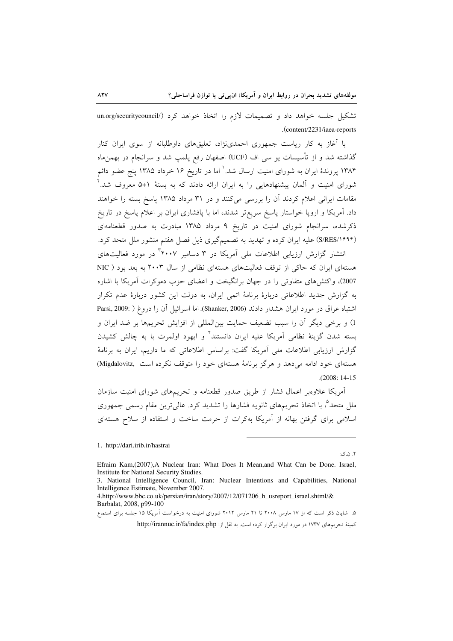تشکیل جلسه خواهد داد و تصمیمات لازم را اتخاذ خواهد کرد (/un.org/securitycouncil .(content/2231/iaea-reports

با آغاز به کار ریاست جمهوری احمدی:(د، تعلیقهای داوطلبانه از سوی ایران کنار گذاشته شد و از تأسیسات یو سی اف (UCF) اصفهان رفع پلمپ شد و سرانجام در بهمن.اه ۱۳۸۴ پروندهٔ ایران به شورای امنیت ارسال شد. ٰ اما در تاریخ ۱۶ خرداد ۱۳۸۵ پنج عضو دائم شورای امنیت و آلمان پیشنهادهایی را به ایران ارائه دادند که به بستهٔ ۱+۵ معروف شد.<sup>۲</sup> مقامات ایرانی اعلام کردند آن را بررسی میکنند و در ۳۱ مرداد ۱۳۸۵ پاسخ بسته را خواهند داد. آمریکا و اروپا خواستار پاسخ سریع تر شدند، اما با پافشاری ایران بر اعلام پاسخ در تاریخ ذکرشده، سرانجام شورای امنیت در تاریخ ۹ مرداد ۱۳۸۵ مبادرت به صدور قطعنامهای (S/RES/۱۶۹۶) علیه ایران کرده و تهدید به تصمیمگیری ذیل فصل هفتم منشور ملل متحد کرد.

انتشار گزارش ارزیابی اطلاعات ملی آمریکا در ۳ دسامبر <sup>۳</sup>۲۰۰۷ در مورد فعالیتهای هستهای ایران که حاکی از توقف فعالیتهای هستهای نظامی از سال ۲۰۰۳ به بعد بود ( NIC 2007)، واكنش هاى متفاوتى را در جهان برانگيخت و اعضاى حزب دموكرات آمريكا با اشاره به گزارش جدید اطلاعاتی دربارهٔ برنامهٔ اتمی ایران، به دولت این کشور دربارهٔ عدم تکرار اشتباه عراق در مورد ايران هشدار دادند (Shanker, 2006). اما اسرائيل آن را دروغ ( Parsi, 2009: ) 1) و برخی دیگر آن را سبب تضعیف حمایت بین|لمللی از افزایش تحریمها بر ضد ایران و بسته شدن گزینهٔ نظامی اَمریکا علیه ایران دانستند<sup>۴</sup> و ایهود اولمرت با به چالش کشیدن گزارش ارزیابی اطلاعات ملی آمریکا گفت: براساس اطلاعاتی که ما داریم، ایران به برنامهٔ هستهای خود ادامه مه دهد و هرگز برنامهٔ هستهای خود را متوقف نکرده است .Migdalovitz)  $. (2008:14-15)$ 

آمریکا علاوهبر اعمال فشار از طریق صدور قطعنامه و تحریمهای شورای امنیت سازمان ملل متحدٌ، با اتخاذ تحریمهای ثانویه فشارها را تشدید کرد. عالی ترین مقام رسمی جمهوری اسلامی برای گرفتن بهانه از آمریکا بهکرات از حرمت ساخت و استفاده از سلاح هستهای

۲. ن.ک:

۵. شایان ذکر است که از ۱۷ مارس ۲۰۰۸ تا ۲۱ مارس ۲۰۱۲ شورای امنیت به درخواست آمریکا ۱۵ جلسه برای استماع كميتهٔ تحريمهاى ١٧٣٧ در مورد ايران برگزار كرده است. به نقل از: http://irannuc.ir/fa/index.php

<sup>1.</sup> http://dari.irib.ir/hastrai

Efraim Kam, (2007), A Nuclear Iran: What Does It Mean, and What Can be Done. Israel, Institute for National Security Studies.

<sup>3.</sup> National Intelligence Council, Iran: Nuclear Intentions and Capabilities, National Intelligence Estimate, November 2007.

<sup>4.</sup>http://www.bbc.co.uk/persian/iran/story/2007/12/071206\_h\_usreport\_israel.shtml/& Barbalat, 2008, p99-100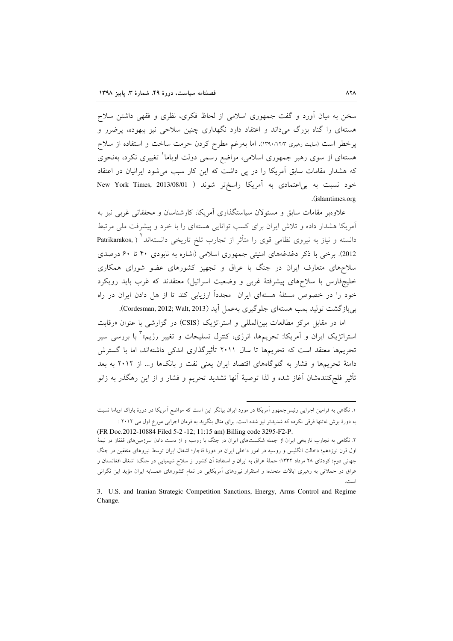سخن به میان آورد و گفت جمهوری اسلامی از لحاظ فکری، نظری و فقهی داشتن سلاح هستهای را گناه بزرگ می داند و اعتقاد دارد نگهداری چنین سلاحی نیز بیهوده، پرضرر و پرخطر است (سایت رهبری ۱۳۹۰/۱۲/۳). اما بهرغم مطرح کردن حرمت ساخت و استفاده از سلاح هستهای از سوی رهبر جمهوری اسلامی، مواضع رسمی دولت اوباما<sup>\</sup> تغییری نکرد، بهنحوی که هشدار مقامات سابق آمریکا را در پی داشت که این کار سبب می شود ایرانیان در اعتقاد خود نسبت به بی|عتمادی به آمریکا راسختر شوند ( New York Times, 2013/08/01 (islamtimes.org).

علاوهبر مقامات سابق و مسئولان سیاستگذاری آمریکا، کارشناسان و محققانی غربی نیز به آمریکا هشدار داده و تلاش ایران برای کسب توانایی هستهای را با خرد و پیشرفت ملی مرتبط دانسته و نیاز به نیروی نظامی قوی را متأثر از تجارب تلخ تاریخی دانستهاند` ( ,Patrikarakos 2012). برخی با ذکر دغدغههای امنیتی جمهوری اسلامی (اشاره به نابودی ۴۰ تا ۶۰ درصدی سلاحهای متعارف ایران در جنگ با عراق و تجهیز کشورهای عضو شورای همکاری خلیجفارس با سلاحهای پیشرفتهٔ غربی و وضعیت اسرائیل) معتقدند که غرب باید رویکرد خود را در خصوص مسئلهٔ هستهای ایران مجدداً ارزیابی کند تا از هل دادن ایران در راه بی بازگشت تولید بمب هستهای جلوگیری بهعمل آید (Cordesman, 2012; Walt, 2013).

اما در مقابل مرکز مطالعات بین|لمللی و استراتژیک (CSIS) در گزارشی با عنوان «رقابت استراتژیک ایران و اَمریکا: تحریمها، انرژی، کنترل تسلیحات و تغییر رژیم»<sup>۳</sup> با بررسی سیر تحریمها معتقد است که تحریمها تا سال ۲۰۱۱ تأثیرگذاری اندکی داشتهاند، اما با گسترش دامنهٔ تحریمها و فشار به گلوگاههای اقتصاد ایران یعنی نفت و بانکها و… از ۲۰۱۲ به بعد تأثیر فلج کنندهشان آغاز شده و لذا توصیهٔ آنها تشدید تحریم و فشار و از این رهگذر به زانو

۱. نگاهی به فرامین اجرایی رئیسجمهور اَمریکا در مورد ایران بیانگر این است که مواضع اَمریکا در دورهٔ باراک اوباما نسبت به دورهٔ بوش ِ نه تنها فوقی نکرده که شدیدتر نیز شده است. برای مثال بنگرید به فرمان اجرایی مورخ اول می ۲۰۱۲ :

<sup>(</sup>FR Doc.2012-10884 Filed 5-2-12; 11:15 am) Billing code 3295-F2-P. ۲. نگاهی به تجارب تاریخی ایران از جمله شکستهای ایران در جنگ با روسیه و از دست دادن سرزمینهای قفقاز در نیمهٔ اول قرن نوزدهم؛ دخالت انگلیس و روسیه در امور داخلی ایران در دورهٔ قاجار؛ اشغال ایران توسط نیروهای متفقین در جنگ جهانی دوم؛ کودتای ۲۸ مرداد ۱۳۳۲؛ حملهٔ عراق به ایران و استفادهٔ آن کشور از سلاح شیمیایی در جنگ؛ اشغال افغانستان و

عراق در حملاتی به رهبری ایالات متحده؛ و استقرار نیروهای آمریکایی در تمام کشورهای همسایه ایران مؤید این نگرانی الدراس

<sup>3.</sup> U.S. and Iranian Strategic Competition Sanctions, Energy, Arms Control and Regime Change.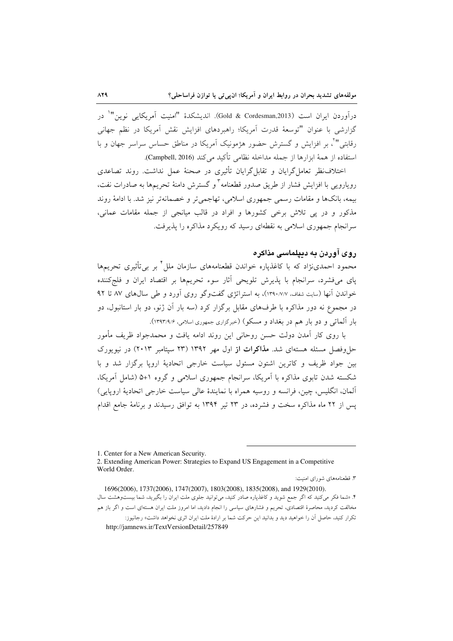درآوردن ايران است (Gold & Cordesman,2013). انديشكدهٔ "امنيت آمريكايي نوين"` در گزارشی با عنوان "توسعهٔ قدرت آمریکا؛ راهبردهای افزایش نقش آمریکا در نظم جهانی رقابتی"'، بر افزایش و گسترش حضور هژمونیک آمریکا در مناطق حساس سراسر جهان و با استفاده از همهٔ ابزارها از جمله مداخله نظامی تأکید می کند (Campbell, 2016).

اختلاف نظر تعامل گرایان و تقابل گرایان تأثیری در صحنهٔ عمل نداشت. روند تصاعدی رویارویی با افزایش فشار از طریق صدور قطعنامه<sup>۳</sup> و گسترش دامنهٔ تحریمها به صادرات نفت، بيمه، بانكها و مقامات رسمي جمهوري اسلامي، تهاجمي تر و خصمانهتر نيز شد. با ادامهٔ روند مذکور و در پی تلاش برخی کشورها و افراد در قالب میانجی از جمله مقامات عمانی، سرانجام جمهوری اسلامی به نقطهای رسید که رویکرد مذاکره را پذیرفت.

### روی آوردن په دېپلماسي مذاکره

محمود احمدیٰنژاد که با کاغذیاره خواندن قطعنامههای سازمان ملل ٔ بر بی تأثیری تحریمها پای می فشرد، سرانجام با پذیرش تلویحی آثار سوء تحریمها بر اقتصاد ایران و فلج کننده خواندن آنها (سایت شفاف، ۱۳۹۰/۷/۷)، به استراتژی گفتوگو روی آورد و طی سال های ۸۷ تا ۹۲ در مجموع نه دور مذاکره با طرفهای مقابل برگزار کرد (سه بار آن ژنو، دو بار استانبول، دو بار آلماتی و دو بار هم در بغداد و مسکو) (خبرگزاری جمهوری اسلامی، ۱۳۹۳/۹/۶).

با روی کار آمدن دولت حسن روحانی این روند ادامه یافت و محمدجواد ظریف مأمور حل وفصل مسئله هستهای شد. م**ذاکرات از** اول مهر ۱۳۹۲ (۲۳ سپتامبر ۲۰۱۳) در نیویورک بین جواد ظریف و کاترین اشتون مسئول سیاست خارجی اتحادیهٔ اروپا برگزار شد و با شکسته شدن تابوی مذاکره با آمریکا، سرانجام جمهوری اسلامی و گروه ۱+۵ (شامل آمریکا، آلمان، انگلیس، چین، فرانسه و روسیه همراه با نمایندهٔ عالی سیاست خارجی اتحادیهٔ اروپایی) یس از ۲۲ ماه مذاکره سخت و فشرده، در ۲۳ تیر ۱۳۹۴ به توافق رسیدند و برنامهٔ جامع اقدام

۳. قطعنامههای شورای امنیت:

<sup>1.</sup> Center for a New American Security.

<sup>2.</sup> Extending American Power: Strategies to Expand US Engagement in a Competitive World Order.

<sup>1696(2006), 1737(2006), 1747(2007), 1803(2008), 1835(2008),</sup> and 1929(2010). ۴. «شما فکر می کنید که اگر جمع شوید و کاغذیاره صادر کنید، می توانید جلوی ملت ایران را بگیرید، شما بیستوهشت سال مخالفت کردید، محاصرهٔ اقتصادی، تحریم و فشارهای سیاسی را انجام دادید، اما امروز ملت ایران هستهای است و اگر باز هم تکرار کنید، حاصل آن را خواهید دید و بدانید این حرکت شما بر ارادهٔ ملت ایران اثری نخواهد داشت» رجانیوز: http://jamnews.ir/TextVersionDetail/257849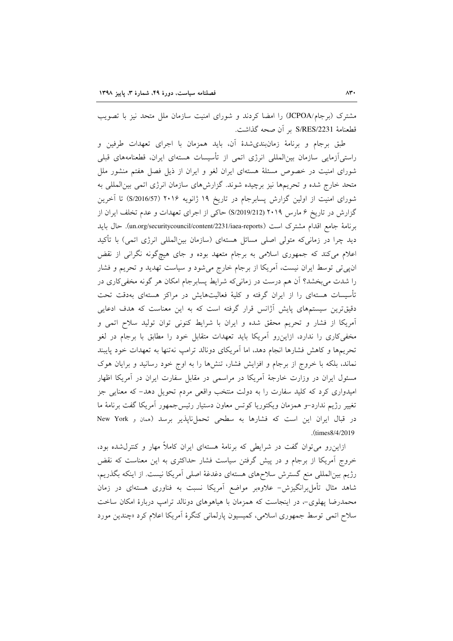مشترک (برجام/JCPOA) را امضا کردند و شورای امنیت سازمان ملل متحد نیز با تصویب قطعنامة S/RES/2231 بر أن صحه گذاشت.

طبق برجام و برنامهٔ زمانبندیشدهٔ آن، باید همزمان با اجرای تعهدات طرفین و راستی]زمایی سازمان بین|لمللی انرژی اتمی از تأسیسات هستهای ایران، قطعنامههای قبلی شورای امنیت در خصوص مسئلهٔ هستهای ایران لغو و ایران از ذیل فصل هفتم منشور ملل متحد خارج شده و تحریمها نیز برچیده شوند. گزارشهای سازمان انرژی اتمی بینالمللی به شورای امنیت از اولین گزارش پسابرجام در تاریخ ۱۹ ژانویه ۲۰۱۶ (S/2016/57) تا آخرین گزارش در تاریخ ۶ مارس ۲۰۱۹ (S/2019/212) حاکی از اجرای تعهدات و عدم تخلف ایران از برنامهٔ جامع اقدام مشترک است (un.org/securitycouncil/content/2231/iaea-reports). حال باید دید چرا در زمانی که متولی اصلی مسائل هستهای (سازمان بین|لمللی انرژی اتمی) با تأکید اعلام میکند که جمهوری اسلامی به برجام متعهد بوده و جای هیچگونه نگرانی از نقض ان $_{5}$ ی توسط ایران نیست، آمریکا از برجام خارج میشود و سیاست تهدید و تحریم و فشار را شدت میبخشد؟ آن هم درست در زمانیکه شرایط پسابرجام امکان هر گونه مخفیکاری در تأسیسات هستهای را از ایران گرفته و کلیهٔ فعالیتهایش در مراکز هستهای بهدقت تحت دقیقترین سیستمهای پایش آژانس قرار گرفته است که به این معناست که هدف ادعایی آمریکا از فشار و تحریم محقق شده و ایران با شرایط کنونی توان تولید سلاح اتمی و مخفیکاری را ندارد، ازاین رو آمریکا باید تعهدات متقابل خود را مطابق با برجام در لغو تحریمها و کاهش فشارها انجام دهد، اما آمریکای دونالد ترامپ نهتنها به تعهدات خود پایبند نماند، بلکه با خروج از برجام و افزایش فشار، تنشها را به اوج خود رسانید و برایان هوک مسئول ایران در وزارت خارجهٔ آمریکا در مراسمی در مقابل سفارت ایران در آمریکا اظهار امیدواری کرد که کلید سفارت را به دولت منتخب واقعی مردم تحویل دهد- که معنایی جز تغيير رژيم ندارد-و همزمان ويكتوريا كوتس معاون دستيار رئيس جمهور آمريكا گفت برنامهٔ ما در قبال ایران این است که فشارها به سطحی تحملیناپذیر برسد (ممان و New York .(times8/4/2019).

ازاینرو می توان گفت در شرایطی که برنامهٔ هستهای ایران کاملاً مهار و کنترل شده بود، خروج آمریکا از برجام و در پیش گرفتن سیاست فشار حداکثری به این معناست که نقض رژیم بین|لمللی منع گسترش سلاحهای هستهای دغدغهٔ اصلی آمریکا نیست. از اینکه بگذریم، شاهد مثال تأمل برانگیزش- علاوهبر مواضع آمریکا نسبت به فناوری هستهای در زمان محمدرضا پهلوی-، در اینجاست که همزمان با هیاهوهای دونالد ترامب دربارهٔ امکان ساخت سلاح اتمي توسط جمهوري اسلامي، كميسيون پارلماني كنگرهٔ آمريكا اعلام كرد «چندين مورد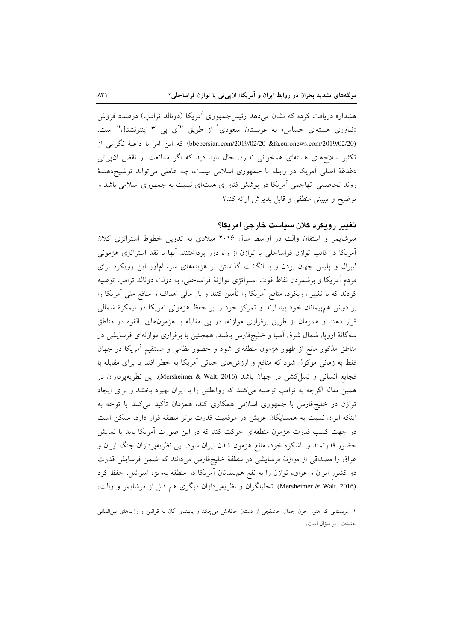هشدار» دریافت کرده که نشان میدهد رئیس جمهوری آمریکا (دونالد ترامپ) درصدد فروش «فناوری هستهای حساس» به عربستان سعودی ٰ از طریق "آی یی ۳ اینترنشنال" است. (bbcpersian.com/2019/02/20 &fa.euronews.com/2019/02/20) كه اين امر با داعية نگرانى از تکثیر سلاحهای هستهای همخوانی ندارد. حال باید دید که اگر ممانعت از نقض ان پی تی دغدغة اصلی آمریکا در رابطه با جمهوری اسلامی نیست، چه عاملی می تواند توضیحدهندهٔ روند تخاصمی-تهاجمی آمریکا در پوشش فناوری هستهای نسبت به جمهوری اسلامی باشد و توضيح وتبييني منطقى وقابل پذيرش ارائه كند؟

### تغيير رويكرد كلان سياست خارجى آمريكا؟

میرشایمر و استفان والت در اواسط سال ۲۰۱۶ میلادی به تدوین خطوط استراتژی کلان آمریکا در قالب توازن فراساحلی یا توازن از راه دور پرداختند. آنها با نقد استراتژی هژمونی لیبرال و پلیس جهان بودن و با انگشت گذاشتن بر هزینههای سرسامآور این رویکرد برای مردم آمریکا و برشمردن نقاط قوت استراتژی موازنهٔ فراساحلی، به دولت دونالد ترامپ توصیه کردند که با تغییر رویکرد، منافع اَمریکا را تأمین کنند و بار مالی اهداف و منافع ملی اَمریکا را بر دوش همهپیمانان خود بیندازند و تمرکز خود را بر حفظ هژمونی آمریکا در نیمکرهٔ شمالی قرار دهند و همزمان از طریق برقراری موازنه، در یی مقابله با هژمونهای بالقوه در مناطق سهگانهٔ اروپا، شمال شرق أسیا و خلیجفارس باشند. همچنین با برقراری موازنهای فرسایشی در مناطق مذکور مانع از ظهور هژمون منطقهای شود و حضور نظامی و مستقیم آمریکا در جهان فقط به زمانی موکول شود که منافع و ارزشهای حیاتی آمریکا به خطر افتد یا برای مقابله با فجايع انساني و نسل كشي در جهان باشد (Mersheimer & Walt, 2016). اين نظريه پردازان در همین مقاله اگرچه به ترامپ توصیه میکنند که روابطش را با ایران بهبود بخشد و برای ایجاد توازن در خلیجفارس با جمهوری اسلامی همکاری کند، همزمان تأکید میکنند با توجه به اینکه ایران نسبت به همسایگان عربش در موقعیت قدرت برتر منطقه قرار دارد، ممکن است در جهت کسب قدرت هژمون منطقهای حرکت کند که در این صورت آمریکا باید با نمایش حضور قدرتمند و باشکوه خود، مانع هژمون شدن ایران شود. این نظریهپردازان جنگ ایران و عراق را مصداقی از موازنهٔ فرسایشی در منطقهٔ خلیجفارس میدانند که ضمن فرسایش قدرت دو کشور ایران و عراق، توازن را به نفع همهپیمانان آمریکا در منطقه بهویژه اسرائیل، حفظ کرد (Mersheimer & Walt, 2016). تحليلگران و نظريهيردازان ديگري هم قبل از مرشايمر و والت،

۱. عربستانی که هنوز خون جمال خاشقچی از دستان حکامش میچکد و پایبندی آنان به قوانین و رژیمهای بینالمللی بەشدت زير سؤال است.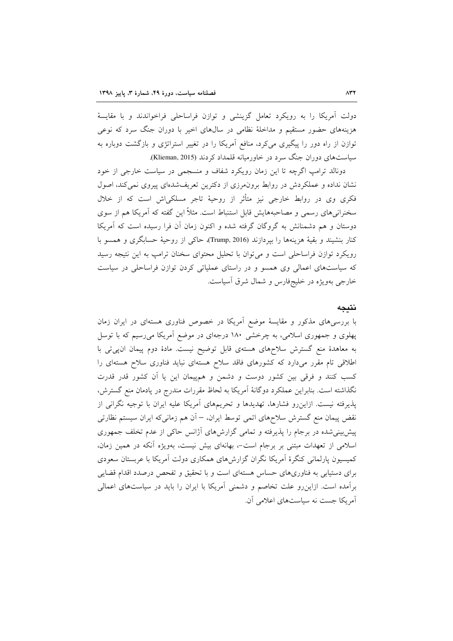دولت آمریکا را به رویکرد تعامل گزینشی و توازن فراساحلی فراخواندند و با مقایسهٔ هزینههای حضور مستقیم و مداخلهٔ نظامی در سالهای اخیر با دوران جنگ سرد که نوعی توازن از راه دور را پیگیری میکرد، منافع آمریکا را در تغییر استراتژی و بازگشت دوباره به سیاستهای دوران جنگ سرد در خاورمیانه قلمداد کردند (Klieman, 2015).

دونالد ترامب اگرچه تا این زمان رویکرد شفاف و منسجمی در سیاست خارجی از خود نشان نداده و عملکردش در روابط برون مرزی از دکترین تعریفشدهای پیروی نمی کند، اصول فکری وی در روابط خارجی نیز متأثر از روحیهٔ تاجر مسلکی|ش است که از خلال سخنرانی های رسمی و مصاحبههایش قابل استنباط است. مثلاً این گفته که آمریکا هم از سوی دوستان و هم دشمنانش به گروگان گرفته شده و اکنون زمان آن فرا رسیده است که آمریکا كنار بنشيند و بقيهٔ هزينهها را بيردازند (Trump, 2016)، حاكي از روحيهٔ حسابگري و همسو با رویکرد توازن فراساحلی است و می توان با تحلیل محتوای سخنان ترامب به این نتیجه رسید که سیاستهای اعمالی وی همسو و در راستای عملیاتی کردن توازن فراساحلی در سیاست خارجی بهویژه در خلیجفارس و شمال شرق آسیاست.

#### نتيجه

با بررسی های مذکور و مقایسهٔ موضع آمریکا در خصوص فناوری هستهای در ایران زمان پهلوی و جمهوری اسلامی، به چرخشی ۱۸۰ درجهای در موضع آمریکا میرسیم که با توسل به معاهدهٔ منع گسترش سلاحهای هستهی قابل توضیح نیست. مادهٔ دوم پیمان ان پی تی با اطلاقی تام مقرر میدارد که کشورهای فاقد سلاح هستهای نباید فناوری سلاح هستهای را کسب کنند و فرقی بین کشور دوست و دشمن و همپیمان این یا آن کشور قدر قدرت نگذاشته است. بنابراین عملکرد دوگانهٔ آمریکا به لحاظ مقررات مندرج در پادمان منع گسترش، پذیرفته نیست. ازاین رو فشارها، تهدیدها و تحریمهای آمریکا علیه ایران با توجیه نگرانی از نقض پیمان منع گسترش سلاحهای اتمی توسط ایران، – آن هم زمانیکه ایران سیستم نظارتی پیش بینی شده در برجام را پذیرفته و تمامی گزارش های آژانس حاکی از عدم تخلف جمهوری اسلامی از تعهدات مبتنی بر برجام است-، بهانهای بیش نیست، بهویژه آنکه در همین زمان، کمیسیون پارلمانی کنگرهٔ آمریکا نگران گزارشهای همکاری دولت آمریکا با عربستان سعودی برای دستیابی به فناوریهای حساس هستهای است و با تحقیق و تفحص درصدد اقدام قضایی برآمده است. ازاین رو علت تخاصم و دشمنی آمریکا با ایران را باید در سیاستهای اعمالی آمریکا جست نه سیاستهای اعلامی آن.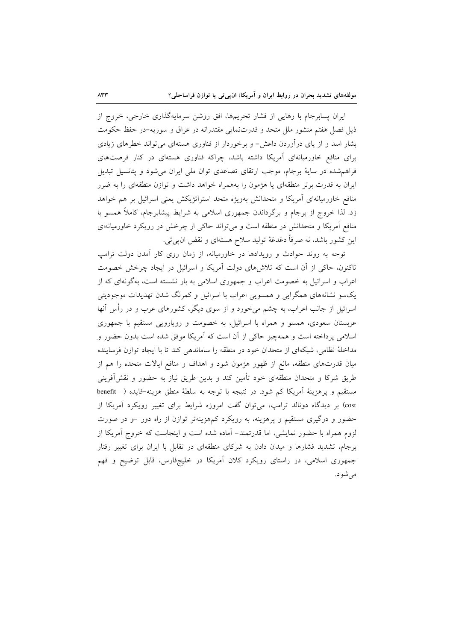ایران پسابرجام با رهایی از فشار تحریمها، افق روشن سرمایهگذاری خارجی، خروج از ذیل فصل هفتم منشور ملل متحد و قدرتنمایی مقتدرانه در عراق و سوریه-در حفظ حکومت بشار اسد و از پای درآوردن داعش- و برخوردار از فناوری هستهای میتواند خطرهای زیادی برای منافع خاورمیانهای آمریکا داشته باشد، چراکه فناوری هستهای در کنار فرصتهای فراهم شده در سایهٔ برجام، موجب ارتقای تصاعدی توان ملی ایران می شود و پتانسیل تبدیل ایران به قدرت برتر منطقهای یا هژمون را بههمراه خواهد داشت و توازن منطقهای را به ضرر منافع خاورمیانهای آمریکا و متحدانش بهویژه متحد استراتژیکش یعنی اسرائیل بر هم خواهد زد. لذا خروج از برجام و برگرداندن جمهوری اسلامی به شرایط پیشابرجام، کاملاً همسو با منافع آمریکا و متحدانش در منطقه است و میتواند حاکی از چرخش در رویکرد خاورمیانهای اين كشور باشد، نه صرفاً دغدغهٔ توليد سلاح هستهاي و نقض ان پي تي.

توجه به روند حوادث و رویدادها در خاورمیانه، از زمان روی کار آمدن دولت ترامپ تاکنون، حاکی از اّن است که تلاش۱های دولت اّمریکا و اسرائیل در ایجاد چرخش خصومت اعراب و اسرائیل به خصومت اعراب و جمهوری اسلامی به بار نشسته است، بهگونهای که از یکسو نشانههای همگرایی و همسویی اعراب با اسرائیل و کمرنگ شدن تهدیدات موجودیتی اسرائیل از جانب اعراب، به چشم میخورد و از سوی دیگر، کشورهای عرب و در رأس آنها عربستان سعودی، همسو و همراه با اسرائیل، به خصومت و رویارویی مستقیم با جمهوری اسلامی پرداخته است و همهچیز حاکی از آن است که آمریکا موفق شده است بدون حضور و مداخلهٔ نظامی، شبکهای از متحدان خود در منطقه را ساماندهی کند تا با ایجاد توازن فرساینده میان قدرتهای منطقه، مانع از ظهور هژمون شود و اهداف و منافع ایالات متحده را هم از طریق شرکا و متحدان منطقهای خود تأمین کند و بدین طریق نیاز به حضور و نقش[فرینی مستقيم و پرهزينهٔ آمريكا كم شود. در نتيجه با توجه به سلطهٔ منطق هزينه-فايده (—benefit cost) بر دیدگاه دونالد ترامب، میتوان گفت امروزه شرایط برای تغییر رویکرد آمریکا از حضور و درگیری مستقیم و پرهزینه، به رویکرد کمهزینهتر توازن از راه دور –و در صورت لزوم همراه با حضور نمایشی، اما قدرتمند– آماده شده است و اینجاست که خروج آمریکا از برجام، تشدید فشارها و میدان دادن به شرکای منطقهای در تقابل با ایران برای تغییر رفتار جمهوری اسلامی، در راستای رویکرد کلان آمریکا در خلیجفارس، قابل توضیح و فهم می شو د.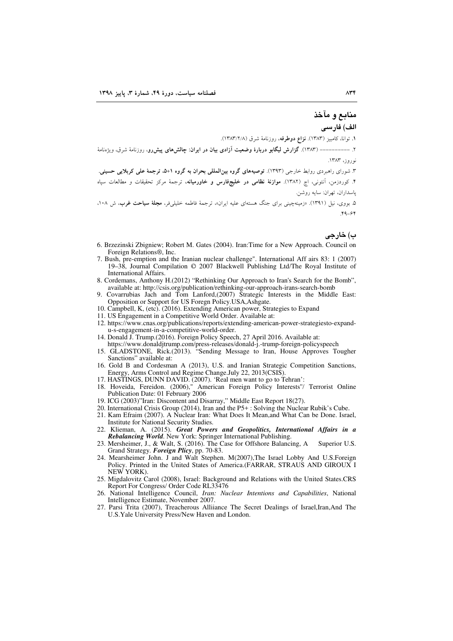## م**ن**ابع و مآخذ الف) فارس*ی*

۱. توانا، کامبیز (۱۳۸۳). **نزاع دوطرفه**، روزنامهٔ شرق (۱۳۸۳/۲/۸).

۲. ––––––––– (۱۳۸۳). **گزارش لیگابو دربارهٔ وضعیت آزادی بیان در ایران: چالشهای پیشروو، روزنامهٔ شرق، ویژهنامهٔ** نوروز، ۱۳۸۳.

۳. شورای راهبردی روابط خارجی (۱۳۹۳). **توصیههای گروه بینالمللی بحران به گروه ۱+۵، ترجمهٔ علی ک<b>ربلایی حسین**ی. ۴. کوردزمن، أنتونى، اچ (۱۳۸۲). **موازنهٔ نظامى در خليجفارس و خاورميانه**، ترجمهٔ مرکز تحقيقات و مطالعات سپاه

پاسداران، تهران: سایه روشن.

۵. بووی، نیل (۱۳۹۱). «زمینهچینی برای جنگ هستهای علیه ایران»، ترجمهٔ فاطمه خلیل<sub>ح</sub>فر، **مجلهٔ سیاحت غرب**، ش ۱۰۸، 64-49.

## ب) **خارجي**

- 6. Brzezinski Zbigniew; Robert M. Gates (2004). Iran:Time for a New Approach. Council on Foreign Relations®, Inc.
- 7. Bush, pre-emption and the Iranian nuclear challenge". International Aff airs 83: 1 (2007) 19–38, Journal Compilation © 2007 Blackwell Publishing Ltd/The Royal Institute of International Affairs.
- 8. Cordemans, Anthony H.(2012) "Rethinking Our Approach to Iran's Search for the Bomb", available at: http://csis.org/publication/rethinking-our-approach-irans-search-bomb
- Covarrubias Jach and Tom Lanford,(2007) Strategic Interests in the Middle East: Opposition or Support for US Foregn Policy.USA,Ashgate.
- 10. Campbell, K, (etc). (2016). Extending American power, Strategies to Expand
- 11. US Engagement in a Competitive World Order. Available at:
- 12. https://www.cnas.org/publications/reports/extending-american-power-strategiesto-expandu-s-engagement-in-a-competitive-world-order.
- 14. Donald J. Trump.(2016). Foreign Policy Speech, 27 April 2016. Available at: https://www.donaldjtrump.com/press-releases/donald-j.-trump-foreign-policyspeech
- 15. GLADSTONE, Rick.(2013). "Sending Message to Iran, House Approves Tougher Sanctions" available at:
- 16. Gold B and Cordesman A (2013), U.S. and Iranian Strategic Competition Sanctions, Energy, Arms Control and Regime Change.July 22, 2013(CSIS).
- 17. HASTINGS, DUNN DAVID. (2007). 'Real men want to go to Tehran':
- 18. Hoveida, Fereidon. (2006)," American Foreign Policy Interests''/ Terrorist Online Publication Date: 01 February 2006
- 19. ICG (2003)"Iran: Discontent and Disarray," Middle East Report 18(27).
- 20. International Crisis Group (2014), Iran and the P5+ : Solving the Nuclear Rubik's Cube.
- 21. Kam Efraim (2007). A Nuclear Iran: What Does It Mean,and What Can be Done. Israel, Institute for National Security Studies.
- 22. Klieman, A. (2015). *Great Powers and Geopolitics, International Affairs in a Rebalancing World*. New York: Springer International Publishing.
- 23. Mersheimer, J., & Walt, S. (2016). The Case for Offshore Balancing, A Superior U.S. Grand Strategy. *Foreign Plicy*, pp. 70-83.
- 24. Mearsheimer John. J and Walt Stephen. M(2007),The Israel Lobby And U.S.Foreign Policy. Printed in the United States of America.(FARRAR, STRAUS AND GIROUX I NEW YORK).
- 25. Migdalovitz Carol (2008), Israel: Background and Relations with the United States.CRS Report For Congress/ Order Code RL33476
- 26. National Intelligence Council, *Iran: Nuclear Intentions and Capabilities*, National Intelligence Estimate, November 2007.
- 27. Parsi Trita (2007), Treacherous Alliiance The Secret Dealings of Israel,Iran,And The U.S.Yale University Press/New Haven and London.